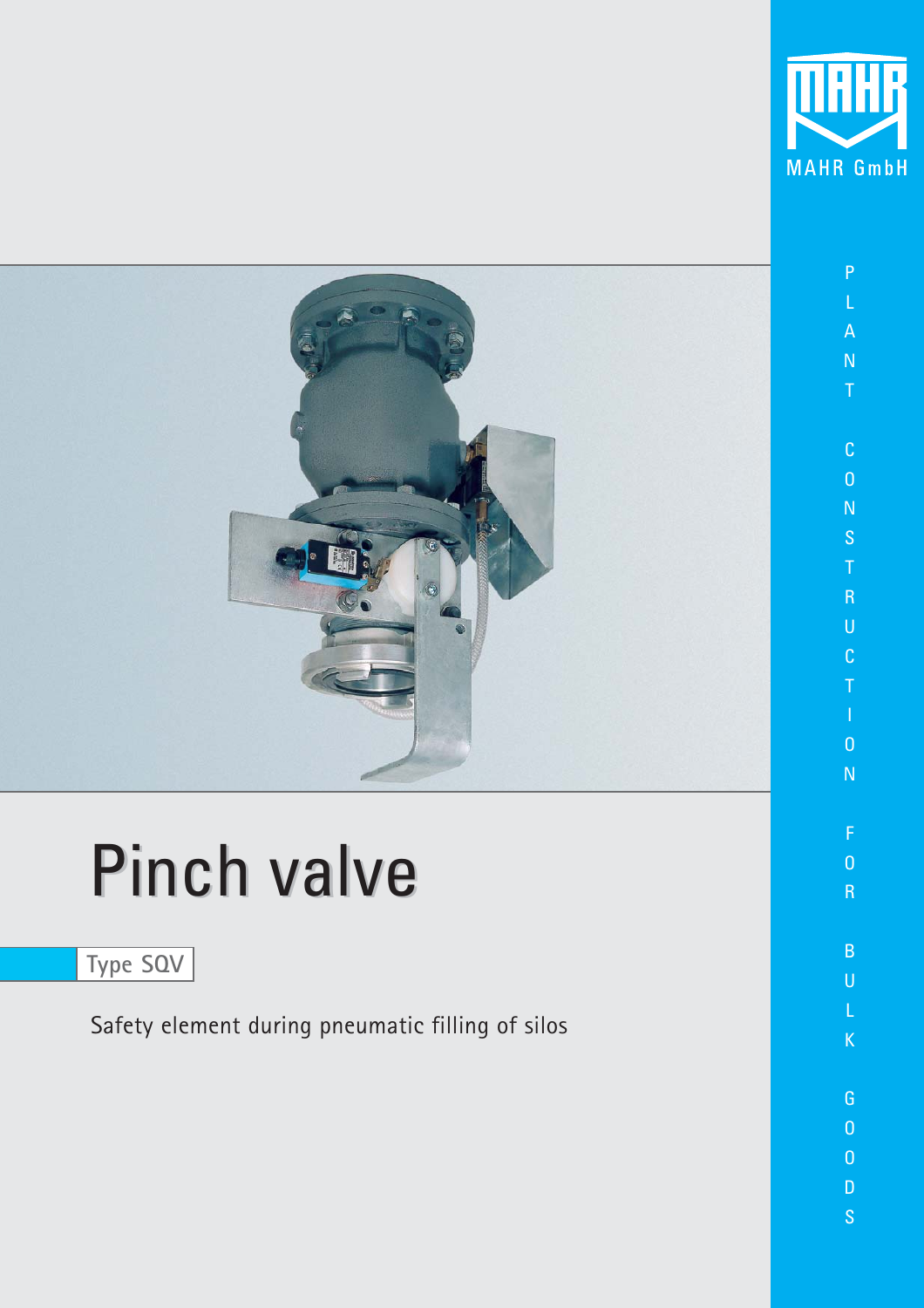

O R

B U

K

G O O D S



# Pinch valve

**Type SQV**

Safety element during pneumatic filling of silos